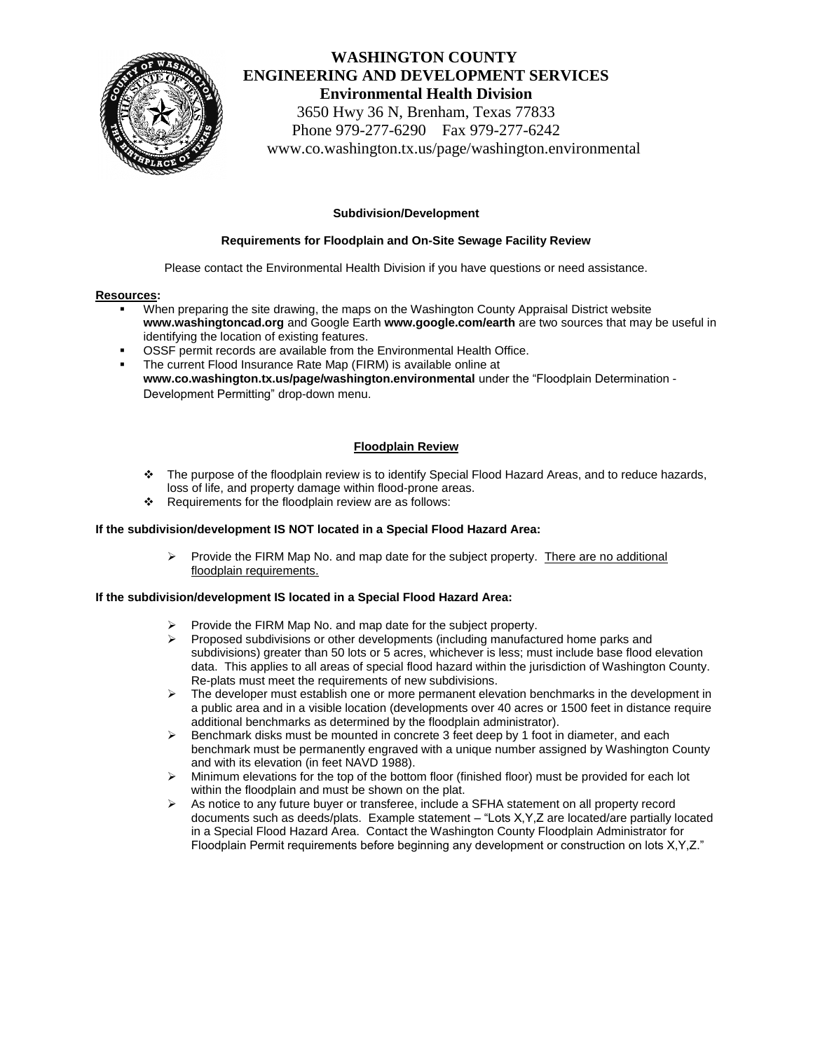

# **WASHINGTON COUNTY ENGINEERING AND DEVELOPMENT SERVICES Environmental Health Division** 3650 Hwy 36 N, Brenham, Texas 77833 Phone 979-277-6290 Fax 979-277-6242

www.co.washington.tx.us/page/washington.environmental

## **Subdivision/Development**

## **Requirements for Floodplain and On-Site Sewage Facility Review**

Please contact the Environmental Health Division if you have questions or need assistance.

#### **Resources:**

- When preparing the site drawing, the maps on the Washington County Appraisal District website **www.washingtoncad.org** and Google Earth **www.google.com/earth** are two sources that may be useful in identifying the location of existing features.
- OSSF permit records are available from the Environmental Health Office.
- The current Flood Insurance Rate Map (FIRM) is available online at **www.co.washington.tx.us/page/washington.environmental** under the "Floodplain Determination - Development Permitting" drop-down menu.

# **Floodplain Review**

- The purpose of the floodplain review is to identify Special Flood Hazard Areas, and to reduce hazards, loss of life, and property damage within flood-prone areas.
- \* Requirements for the floodplain review are as follows:

## **If the subdivision/development IS NOT located in a Special Flood Hazard Area:**

 $\triangleright$  Provide the FIRM Map No. and map date for the subject property. There are no additional floodplain requirements.

# **If the subdivision/development IS located in a Special Flood Hazard Area:**

- Provide the FIRM Map No. and map date for the subject property.
- Proposed subdivisions or other developments (including manufactured home parks and subdivisions) greater than 50 lots or 5 acres, whichever is less; must include base flood elevation data. This applies to all areas of special flood hazard within the jurisdiction of Washington County. Re-plats must meet the requirements of new subdivisions.
- $\triangleright$  The developer must establish one or more permanent elevation benchmarks in the development in a public area and in a visible location (developments over 40 acres or 1500 feet in distance require additional benchmarks as determined by the floodplain administrator).
- $\triangleright$  Benchmark disks must be mounted in concrete 3 feet deep by 1 foot in diameter, and each benchmark must be permanently engraved with a unique number assigned by Washington County and with its elevation (in feet NAVD 1988).
- $\triangleright$  Minimum elevations for the top of the bottom floor (finished floor) must be provided for each lot within the floodplain and must be shown on the plat.
- $\triangleright$  As notice to any future buyer or transferee, include a SFHA statement on all property record documents such as deeds/plats. Example statement – "Lots X,Y,Z are located/are partially located in a Special Flood Hazard Area. Contact the Washington County Floodplain Administrator for Floodplain Permit requirements before beginning any development or construction on lots X,Y,Z."